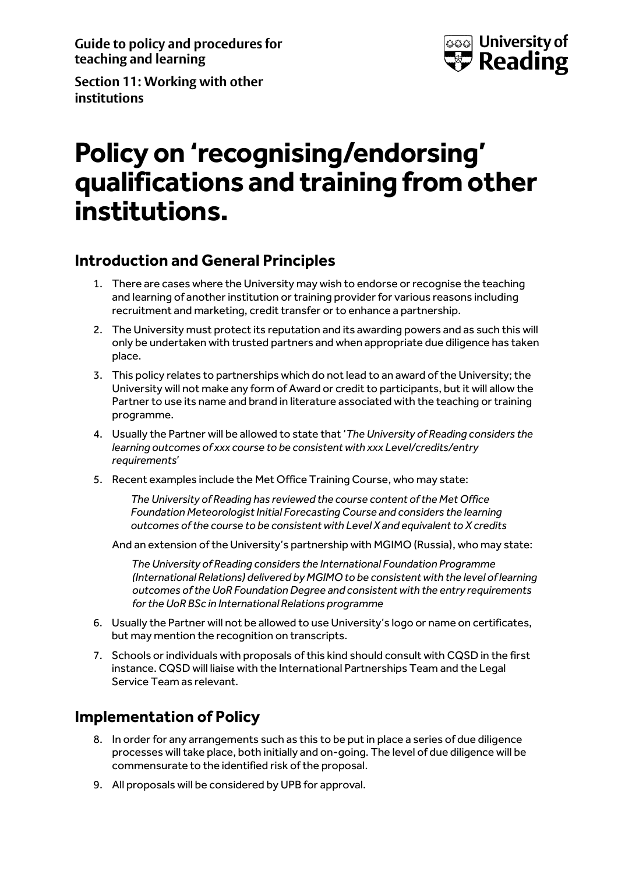**Guide to policy and procedures for teaching and learning**



**Section 11: Working with other institutions**

# **Policy on 'recognising/endorsing' qualifications and training from other institutions.**

## **Introduction and General Principles**

- 1. There are cases where the University may wish to endorse or recognise the teaching and learning of another institution or training provider for various reasons including recruitment and marketing, credit transfer or to enhance a partnership.
- 2. The University must protect its reputation and its awarding powers and as such this will only be undertaken with trusted partners and when appropriate due diligence has taken place.
- 3. This policy relates to partnerships which do not lead to an award of the University; the University will not make any form of Award or credit to participants, but it will allow the Partner to use its name and brand in literature associated with the teaching or training programme.
- 4. Usually the Partner will be allowed to state that '*The University of Reading considers the learning outcomes of xxx course to be consistent with xxx Level/credits/entry requirements*'
- 5. Recent examples include the Met Office Training Course, who may state:

*The University of Reading has reviewed the course content of the Met Office Foundation Meteorologist Initial Forecasting Course and considers the learning outcomes of the course to be consistent with Level X and equivalent to X credits*

And an extension of the University's partnership with MGIMO (Russia), who may state:

*The University of Reading considers the International Foundation Programme (International Relations) delivered by MGIMO to be consistent with the level of learning outcomes of the UoR Foundation Degree and consistent with the entry requirements for the UoR BSc in International Relations programme*

- 6. Usually the Partner will not be allowed to use University's logo or name on certificates, but may mention the recognition on transcripts.
- 7. Schools or individuals with proposals of this kind should consult with CQSD in the first instance. CQSD will liaise with the International Partnerships Team and the Legal Service Team as relevant.

## **Implementation of Policy**

- 8. In order for any arrangements such as this to be put in place a series of due diligence processes will take place, both initially and on-going. The level of due diligence will be commensurate to the identified risk of the proposal.
- 9. All proposals will be considered by UPB for approval.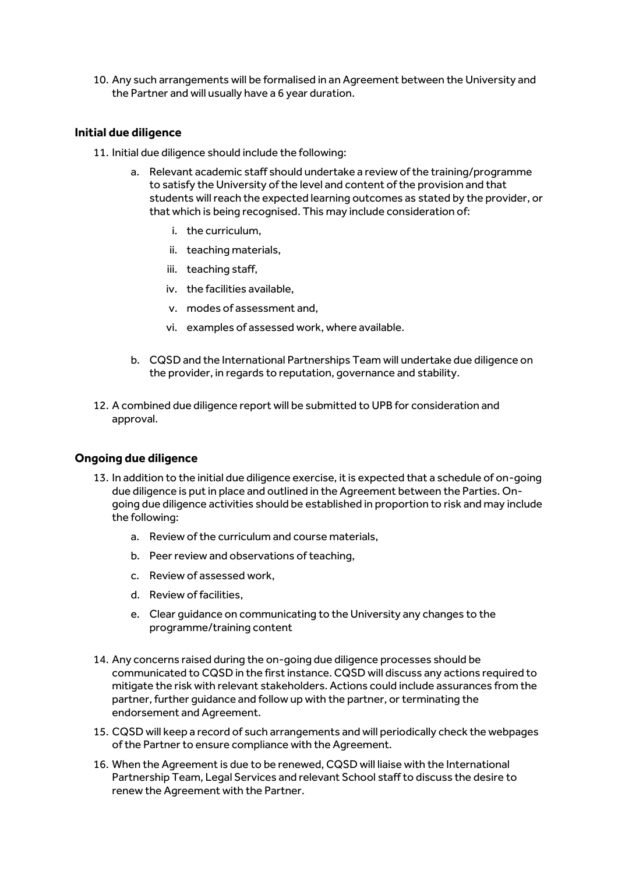10. Any such arrangements will be formalised in an Agreement between the University and the Partner and will usually have a 6 year duration.

#### **Initial due diligence**

- 11. Initial due diligence should include the following:
	- a. Relevant academic staff should undertake a review of the training/programme to satisfy the University of the level and content of the provision and that students will reach the expected learning outcomes as stated by the provider, or that which is being recognised. This may include consideration of:
		- i. the curriculum,
		- ii. teaching materials,
		- iii. teaching staff,
		- iv. the facilities available,
		- v. modes of assessment and,
		- vi. examples of assessed work, where available.
	- b. CQSD and the International Partnerships Team will undertake due diligence on the provider, in regards to reputation, governance and stability.
- 12. A combined due diligence report will be submitted to UPB for consideration and approval.

### **Ongoing due diligence**

- 13. In addition to the initial due diligence exercise, it is expected that a schedule of on-going due diligence is put in place and outlined in the Agreement between the Parties. Ongoing due diligence activities should be established in proportion to risk and may include the following:
	- a. Review of the curriculum and course materials,
	- b. Peer review and observations of teaching,
	- c. Review of assessed work,
	- d. Review of facilities,
	- e. Clear guidance on communicating to the University any changes to the programme/training content
- 14. Any concerns raised during the on-going due diligence processes should be communicated to CQSD in the first instance. CQSD will discuss any actions required to mitigate the risk with relevant stakeholders. Actions could include assurances from the partner, further guidance and follow up with the partner, or terminating the endorsement and Agreement.
- 15. CQSD will keep a record of such arrangements and will periodically check the webpages of the Partner to ensure compliance with the Agreement.
- 16. When the Agreement is due to be renewed, CQSD will liaise with the International Partnership Team, Legal Services and relevant School staff to discuss the desire to renew the Agreement with the Partner.